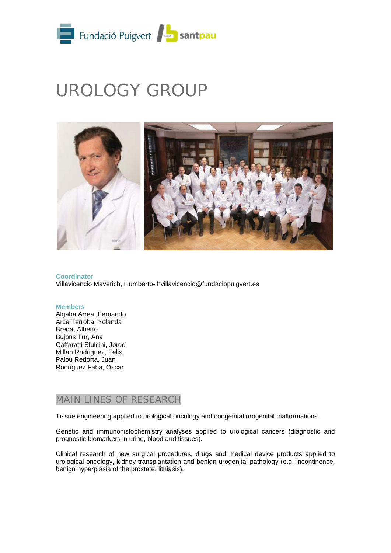

# UROLOGY GROUP



**Coordinator** Villavicencio Maverich, Humberto- hvillavicencio@fundaciopuigvert.es

#### **Members**

Algaba Arrea, Fernando Arce Terroba, Yolanda Breda, Alberto Bujons Tur, Ana Caffaratti Sfulcini, Jorge Millan Rodriguez, Felix Palou Redorta, Juan Rodriguez Faba, Oscar

## MAIN LINES OF RESEARCH

Tissue engineering applied to urological oncology and congenital urogenital malformations.

Genetic and immunohistochemistry analyses applied to urological cancers (diagnostic and prognostic biomarkers in urine, blood and tissues).

Clinical research of new surgical procedures, drugs and medical device products applied to urological oncology, kidney transplantation and benign urogenital pathology (e.g. incontinence, benign hyperplasia of the prostate, lithiasis).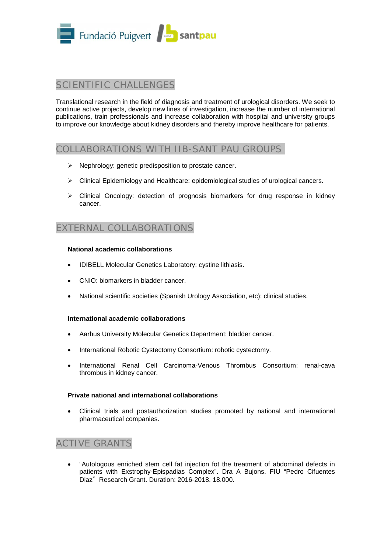

# SCIENTIFIC CHALLENGES

Translational research in the field of diagnosis and treatment of urological disorders. We seek to continue active projects, develop new lines of investigation, increase the number of international publications, train professionals and increase collaboration with hospital and university groups to improve our knowledge about kidney disorders and thereby improve healthcare for patients.

## COLLABORATIONS WITH IIB-SANT PAU GROUPS

- $\triangleright$  Nephrology: genetic predisposition to prostate cancer.
- $\triangleright$  Clinical Epidemiology and Healthcare: epidemiological studies of urological cancers.
- $\triangleright$  Clinical Oncology: detection of prognosis biomarkers for drug response in kidney cancer.

# EXTERNAL COLLABORATIONS

#### **National academic collaborations**

- IDIBELL Molecular Genetics Laboratory: cystine lithiasis.
- CNIO: biomarkers in bladder cancer.
- National scientific societies (Spanish Urology Association, etc): clinical studies.

#### **International academic collaborations**

- Aarhus University Molecular Genetics Department: bladder cancer.
- International Robotic Cystectomy Consortium: robotic cystectomy.
- International Renal Cell Carcinoma-Venous Thrombus Consortium: renal-cava thrombus in kidney cancer.

#### **Private national and international collaborations**

• Clinical trials and postauthorization studies promoted by national and international pharmaceutical companies.

# ACTIVE GRANTS

• "Autologous enriched stem cell fat injection fot the treatment of abdominal defects in patients with Exstrophy-Epispadias Complex". Dra A Bujons. FIU "Pedro Cifuentes Diaz". Research Grant. Duration: 2016-2018. 18.000.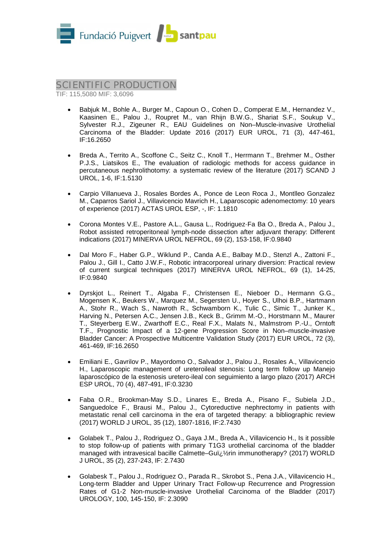

## SCIENTIFIC PRODUCTION

TIF: 115,5080 MIF: 3,6096

- Babjuk M., Bohle A., Burger M., Capoun O., Cohen D., Comperat E.M., Hernandez V., Kaasinen E., Palou J., Roupret M., van Rhijn B.W.G., Shariat S.F., Soukup V., Sylvester R.J., Zigeuner R., EAU Guidelines on Non–Muscle-invasive Urothelial Carcinoma of the Bladder: Update 2016 (2017) EUR UROL, 71 (3), 447-461, IF:16.2650
- Breda A., Territo A., Scoffone C., Seitz C., Knoll T., Herrmann T., Brehmer M., Osther P.J.S., Liatsikos E., The evaluation of radiologic methods for access guidance in percutaneous nephrolithotomy: a systematic review of the literature (2017) SCAND J UROL, 1-6, IF:1.5130
- Carpio Villanueva J., Rosales Bordes A., Ponce de Leon Roca J., Montlleo Gonzalez M., Caparros Sariol J., Villavicencio Mavrich H., Laparoscopic adenomectomy: 10 years of experience (2017) ACTAS UROL ESP, -, IF: 1.1810
- Corona Montes V.E., Pastore A.L., Gausa L., Rodriguez-Fa Ba O., Breda A., Palou J., Robot assisted retroperitoneal lymph-node dissection after adjuvant therapy: Different indications (2017) MINERVA UROL NEFROL, 69 (2), 153-158, IF:0.9840
- Dal Moro F., Haber G.P., Wiklund P., Canda A.E., Balbay M.D., Stenzl A., Zattoni F., Palou J., Gill I., Catto J.W.F., Robotic intracorporeal urinary diversion: Practical review of current surgical techniques (2017) MINERVA UROL NEFROL, 69 (1), 14-25, IF:0.9840
- Dyrskjot L., Reinert T., Algaba F., Christensen E., Nieboer D., Hermann G.G., Mogensen K., Beukers W., Marquez M., Segersten U., Hoyer S., Ulhoi B.P., Hartmann A., Stohr R., Wach S., Nawroth R., Schwamborn K., Tulic C., Simic T., Junker K., Harving N., Petersen A.C., Jensen J.B., Keck B., Grimm M.-O., Horstmann M., Maurer T., Steyerberg E.W., Zwarthoff E.C., Real F.X., Malats N., Malmstrom P.-U., Orntoft T.F., Prognostic Impact of a 12-gene Progression Score in Non–muscle-invasive Bladder Cancer: A Prospective Multicentre Validation Study (2017) EUR UROL, 72 (3), 461-469, IF:16.2650
- Emiliani E., Gavrilov P., Mayordomo O., Salvador J., Palou J., Rosales A., Villavicencio H., Laparoscopic management of ureteroileal stenosis: Long term follow up Manejo laparoscópico de la estenosis uretero-ileal con seguimiento a largo plazo (2017) ARCH ESP UROL, 70 (4), 487-491, IF:0.3230
- Faba O.R., Brookman-May S.D., Linares E., Breda A., Pisano F., Subiela J.D., Sanguedolce F., Brausi M., Palou J., Cytoreductive nephrectomy in patients with metastatic renal cell carcinoma in the era of targeted therapy: a bibliographic review (2017) WORLD J UROL, 35 (12), 1807-1816, IF:2.7430
- Golabek T., Palou J., Rodriguez O., Gaya J.M., Breda A., Villavicencio H., Is it possible to stop follow-up of patients with primary T1G3 urothelial carcinoma of the bladder managed with intravesical bacille Calmette–Guï, 1/2rin immunotherapy? (2017) WORLD J UROL, 35 (2), 237-243, IF: 2.7430
- Golabesk T., Palou J., Rodriguez O., Parada R., Skrobot S., Pena J.A., Villavicencio H., Long-term Bladder and Upper Urinary Tract Follow-up Recurrence and Progression Rates of G1-2 Non-muscle-invasive Urothelial Carcinoma of the Bladder (2017) UROLOGY, 100, 145-150, IF: 2.3090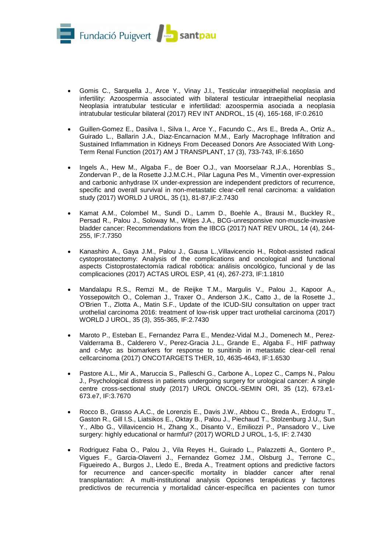

- Gomis C., Sarquella J., Arce Y., Vinay J.I., Testicular intraepithelial neoplasia and infertility: Azoospermia associated with bilateral testicular intraepithelial neoplasia Neoplasia intratubular testicular e infertilidad: azoospermia asociada a neoplasia intratubular testicular bilateral (2017) REV INT ANDROL, 15 (4), 165-168, IF:0.2610
- Guillen-Gomez E., Dasilva I., Silva I., Arce Y., Facundo C., Ars E., Breda A., Ortiz A., Guirado L., Ballarin J.A., Diaz-Encarnacion M.M., Early Macrophage Infiltration and Sustained Inflammation in Kidneys From Deceased Donors Are Associated With Long-Term Renal Function (2017) AM J TRANSPLANT, 17 (3), 733-743, IF:6.1650
- Ingels A., Hew M., Algaba F., de Boer O.J., van Moorselaar R.J.A., Horenblas S., Zondervan P., de la Rosette J.J.M.C.H., Pilar Laguna Pes M., Vimentin over-expression and carbonic anhydrase IX under-expression are independent predictors of recurrence, specific and overall survival in non-metastatic clear-cell renal carcinoma: a validation study (2017) WORLD J UROL, 35 (1), 81-87,IF:2.7430
- Kamat A.M., Colombel M., Sundi D., Lamm D., Boehle A., Brausi M., Buckley R., Persad R., Palou J., Soloway M., Witjes J.A., BCG-unresponsive non-muscle-invasive bladder cancer: Recommendations from the IBCG (2017) NAT REV UROL, 14 (4), 244- 255, IF:7.7350
- Kanashiro A., Gaya J.M., Palou J., Gausa L.,Villavicencio H., Robot-assisted radical cystoprostatectomy: Analysis of the complications and oncological and functional aspects Cistoprostatectomía radical robótica: análisis oncológico, funcional y de las complicaciones (2017) ACTAS UROL ESP, 41 (4), 267-273, IF:1.1810
- Mandalapu R.S., Remzi M., de Reijke T.M., Margulis V., Palou J., Kapoor A., Yossepowitch O., Coleman J., Traxer O., Anderson J.K., Catto J., de la Rosette J., O'Brien T., Zlotta A., Matin S.F., Update of the ICUD-SIU consultation on upper tract urothelial carcinoma 2016: treatment of low-risk upper tract urothelial carcinoma (2017) WORLD J UROL, 35 (3), 355-365, IF:2.7430
- Maroto P., Esteban E., Fernandez Parra E., Mendez-Vidal M.J., Domenech M., Perez-Valderrama B., Calderero V., Perez-Gracia J.L., Grande E., Algaba F., HIF pathway and c-Myc as biomarkers for response to sunitinib in metastatic clear-cell renal cellcarcinoma (2017) ONCOTARGETS THER, 10, 4635-4643, IF:1.6530
- Pastore A.L., Mir A., Maruccia S., Palleschi G., Carbone A., Lopez C., Camps N., Palou J., Psychological distress in patients undergoing surgery for urological cancer: A single centre cross-sectional study (2017) UROL ONCOL-SEMIN ORI, 35 (12), 673.e1- 673.e7, IF:3.7670
- Rocco B., Grasso A.A.C., de Lorenzis E., Davis J.W., Abbou C., Breda A., Erdogru T., Gaston R., Gill I.S., Liatsikos E., Oktay B., Palou J., Piechaud T., Stolzenburg J.U., Sun Y., Albo G., Villavicencio H., Zhang X., Disanto V., Emiliozzi P., Pansadoro V., Live surgery: highly educational or harmful? (2017) WORLD J UROL, 1-5, IF: 2.7430
- Rodriguez Faba O., Palou J., Vila Reyes H., Guirado L., Palazzetti A., Gontero P., Vigues F., Garcia-Olaverri J., Fernandez Gomez J.M., Olsburg J., Terrone C., Figueiredo A., Burgos J., Lledo E., Breda A., Treatment options and predictive factors for recurrence and cancer-specific mortality in bladder cancer after renal transplantation: A multi-institutional analysis Opciones terapéuticas y factores predictivos de recurrencia y mortalidad cáncer-específica en pacientes con tumor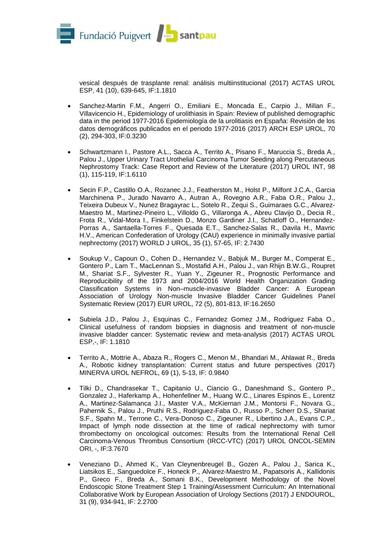

vesical después de trasplante renal: análisis multiinstitucional (2017) ACTAS UROL ESP, 41 (10), 639-645, IF:1.1810

- Sanchez-Martin F.M., Angerri O., Emiliani E., Moncada E., Carpio J., Millan F., Villavicencio H., Epidemiology of urolithiasis in Spain: Review of published demographic data in the period 1977-2016 Epidemiología de la urolitiasis en España: Revisión de los datos demográficos publicados en el periodo 1977-2016 (2017) ARCH ESP UROL, 70 (2), 294-303, IF:0.3230
- Schwartzmann I., Pastore A.L., Sacca A., Territo A., Pisano F., Maruccia S., Breda A., Palou J., Upper Urinary Tract Urothelial Carcinoma Tumor Seeding along Percutaneous Nephrostomy Track: Case Report and Review of the Literature (2017) UROL INT, 98 (1), 115-119, IF:1.6110
- Secin F.P., Castillo O.A., Rozanec J.J., Featherston M., Holst P., Milfont J.C.A., Garcia Marchinena P., Jurado Navarro A., Autran A., Rovegno A.R., Faba O.R., Palou J., Teixeira Dubeux V., Nunez Bragayrac L., Sotelo R., Zequi S., Guimaraes G.C., Alvarez-Maestro M., Martinez-Pineiro L., Villoldo G., Villaronga A., Abreu Clavijo D., Decia R., Frota R., Vidal-Mora I., Finkelstein D., Monzo Gardiner J.I., Schatloff O., Hernandez-Porras A., Santaella-Torres F., Quesada E.T., Sanchez-Salas R., Davila H., Mavric H.V., American Confederation of Urology (CAU) experience in minimally invasive partial nephrectomy (2017) WORLD J UROL, 35 (1), 57-65, IF: 2.7430
- Soukup V., Capoun O., Cohen D., Hernandez V., Babjuk M., Burger M., Comperat E., Gontero P., Lam T., MacLennan S., Mostafid A.H., Palou J., van Rhijn B.W.G., Roupret M., Shariat S.F., Sylvester R., Yuan Y., Zigeuner R., Prognostic Performance and Reproducibility of the 1973 and 2004/2016 World Health Organization Grading Classification Systems in Non–muscle-invasive Bladder Cancer: A European Association of Urology Non-muscle Invasive Bladder Cancer Guidelines Panel Systematic Review (2017) EUR UROL, 72 (5), 801-813, IF:16.2650
- Subiela J.D., Palou J., Esquinas C., Fernandez Gomez J.M., Rodriguez Faba O., Clinical usefulness of random biopsies in diagnosis and treatment of non-muscle invasive bladder cancer: Systematic review and meta-analysis (2017) ACTAS UROL ESP,-, IF: 1.1810
- Territo A., Mottrie A., Abaza R., Rogers C., Menon M., Bhandari M., Ahlawat R., Breda A., Robotic kidney transplantation: Current status and future perspectives (2017) MINERVA UROL NEFROL, 69 (1), 5-13, IF: 0.9840
- Tilki D., Chandrasekar T., Capitanio U., Ciancio G., Daneshmand S., Gontero P., Gonzalez J., Haferkamp A., Hohenfellner M., Huang W.C., Linares Espinos E., Lorentz A., Martinez-Salamanca J.I., Master V.A., McKiernan J.M., Montorsi F., Novara G., Pahernik S., Palou J., Pruthi R.S., Rodriguez-Faba O., Russo P., Scherr D.S., Shariat S.F., Spahn M., Terrone C., Vera-Donoso C., Zigeuner R., Libertino J.A., Evans C.P., Impact of lymph node dissection at the time of radical nephrectomy with tumor thrombectomy on oncological outcomes: Results from the International Renal Cell Carcinoma-Venous Thrombus Consortium (IRCC-VTC) (2017) UROL ONCOL-SEMIN ORI, -, IF:3.7670
- Veneziano D., Ahmed K., Van Cleynenbreugel B., Gozen A., Palou J., Sarica K., Liatsikos E., Sanguedolce F., Honeck P., Alvarez-Maestro M., Papatsoris A., Kallidonis P., Greco F., Breda A., Somani B.K., Development Methodology of the Novel Endoscopic Stone Treatment Step 1 Training/Assessment Curriculum: An International Collaborative Work by European Association of Urology Sections (2017) J ENDOUROL, 31 (9), 934-941, IF: 2.2700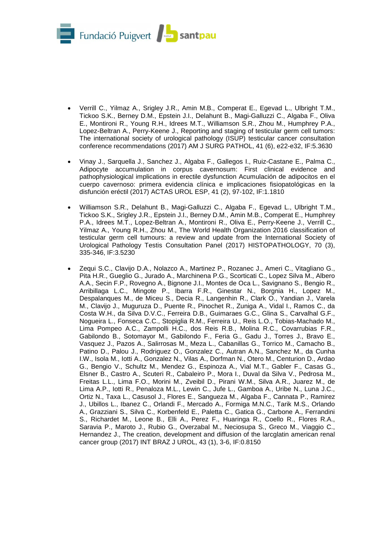

- Verrill C., Yilmaz A., Srigley J.R., Amin M.B., Comperat E., Egevad L., Ulbright T.M., Tickoo S.K., Berney D.M., Epstein J.I., Delahunt B., Magi-Galluzzi C., Algaba F., Oliva E., Montironi R., Young R.H., Idrees M.T., Williamson S.R., Zhou M., Humphrey P.A., Lopez-Beltran A., Perry-Keene J., Reporting and staging of testicular germ cell tumors: The international society of urological pathology (ISUP) testicular cancer consultation conference recommendations (2017) AM J SURG PATHOL, 41 (6), e22-e32, IF:5.3630
- Vinay J., Sarquella J., Sanchez J., Algaba F., Gallegos I., Ruiz-Castane E., Palma C., Adipocyte accumulation in corpus cavernosum: First clinical evidence and pathophysiological implications in erectile dysfunction Acumulación de adipocitos en el cuerpo cavernoso: primera evidencia clínica e implicaciones fisiopatológicas en la disfunción eréctil (2017) ACTAS UROL ESP, 41 (2), 97-102, IF:1.1810
- Williamson S.R., Delahunt B., Magi-Galluzzi C., Algaba F., Egevad L., Ulbright T.M., Tickoo S.K., Srigley J.R., Epstein J.I., Berney D.M., Amin M.B., Comperat E., Humphrey P.A., Idrees M.T., Lopez-Beltran A., Montironi R., Oliva E., Perry-Keene J., Verrill C., Yilmaz A., Young R.H., Zhou M., The World Health Organization 2016 classification of testicular germ cell tumours: a review and update from the International Society of Urological Pathology Testis Consultation Panel (2017) HISTOPATHOLOGY, 70 (3), 335-346, IF:3.5230
- Zequi S.C., Clavijo D.A., Nolazco A., Martinez P., Rozanec J., Ameri C., Vitagliano G., Pita H.R., Gueglio G., Jurado A., Marchinena P.G., Scorticati C., Lopez Silva M., Albero A.A., Secin F.P., Rovegno A., Bignone J.I., Montes de Oca L., Savignano S., Bengio R., Arribillaga L.C., Mingote P., Ibarra F.R., Ginestar N., Borgnia H., Lopez M., Despalanques M., de Miceu S., Decia R., Langenhin R., Clark O., Yandian J., Varela M., Clavijo J., Muguruza D., Puente R., Pinochet R., Zuniga A., Vidal I., Ramos C., da Costa W.H., da Silva D.V.C., Ferreira D.B., Guimaraes G.C., Glina S., Carvalhal G.F., Nogueira L., Fonseca C.C., Stopiglia R.M., Ferreira U., Reis L.O., Tobias-Machado M., Lima Pompeo A.C., Zampolli H.C., dos Reis R.B., Molina R.C., Covarrubias F.R., Gabilondo B., Sotomayor M., Gabilondo F., Feria G., Gadu J., Torres J., Bravo E., Vasquez J., Pazos A., Salirrosas M., Meza L., Cabanillas G., Torrico M., Camacho B., Patino D., Palou J., Rodriguez O., Gonzalez C., Autran A.N., Sanchez M., da Cunha I.W., Isola M., Iotti A., Gonzalez N., Vilas A., Dorfman N., Otero M., Centurion D., Ardao G., Bengio V., Schultz M., Mendez G., Espinoza A., Vial M.T., Gabler F., Casas G., Elsner B., Castro A., Scuteri R., Cabaleiro P., Mora I., Duval da Silva V., Pedrosa M., Freitas L.L., Lima F.O., Morini M., Zveibil D., Pirani W.M., Silva A.R., Juarez M., de Lima A.P., Iotti R., Penaloza M.L., Lewin C., Jufe L., Gamboa A., Uribe N., Luna J.C., Ortiz N., Taxa L., Casusol J., Flores E., Sangueza M., Algaba F., Cannata P., Ramirez J., Ubillos L., Ibanez C., Orlandi F., Mercado A., Formiga M.N.C., Tarik M.S., Orlando A., Grazziani S., Silva C., Korbenfeld E., Paletta C., Gatica G., Carbone A., Ferrandini S., Richardet M., Leone B., Elli A., Perez F., Huaringa R., Coello R., Flores R.A., Saravia P., Maroto J., Rubio G., Overzabal M., Neciosupa S., Greco M., Viaggio C., Hernandez J., The creation, development and diffusion of the larcglatin american renal cancer group (2017) INT BRAZ J UROL, 43 (1), 3-6, IF:0.8150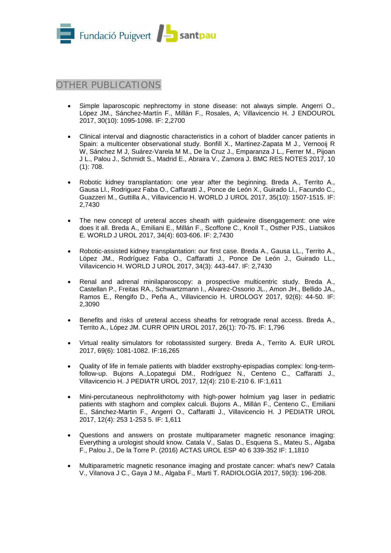

# OTHER PUBLICATIONS

- Simple laparoscopic nephrectomy in stone disease: not always simple. Angerri O., López JM., Sánchez-Martín F., Millán F., Rosales, A; Villavicencio H. J ENDOUROL 2017, 30(10): 1095-1098. IF: 2,2700
- Clinical interval and diagnostic characteristics in a cohort of bladder cancer patients in Spain: a multicenter observational study. Bonfill X., Martinez-Zapata M J., Vernooij R W, Sánchez M J, Suárez-Varela M M., De la Cruz J., Emparanza J L., Ferrer M., Pijoan J L., Palou J., Schmidt S., Madrid E., Abraira V., Zamora J. BMC RES NOTES 2017, 10 (1): 708.
- Robotic kidney transplantation: one year after the beginning. Breda A., Territo A., Gausa Ll., Rodriguez Faba O., Caffaratti J., Ponce de León X., Guirado Ll., Facundo C., Guazzeri M., Guttilla A., Villavicencio H. WORLD J UROL 2017, 35(10): 1507-1515. IF: 2,7430
- The new concept of ureteral acces sheath with quidewire disengagement: one wire does it all. Breda A., Emiliani E., Millán F., Scoffone C., Knoll T., Osther PJS., Liatsikos E. WORLD J UROL 2017, 34(4): 603-606. IF: 2,7430
- Robotic-assisted kidney transplantation: our first case. Breda A., Gausa LL., Territo A., López JM., Rodríguez Faba O., Caffaratti J., Ponce De León J., Guirado LL., Villavicencio H. WORLD J UROL 2017, 34(3): 443-447. IF: 2,7430
- Renal and adrenal minilaparoscopy: a prospective multicentric study. Breda A., Castellan P., Freitas RA., Schwartzmann I., Alvarez-Ossorio JL., Amon JH., Bellido JA., Ramos E., Rengifo D., Peña A., Villavicencio H. UROLOGY 2017, 92(6): 44-50. IF: 2,3090
- Benefits and risks of ureteral access sheaths for retrograde renal access. Breda A., Territo A., López JM. CURR OPIN UROL 2017, 26(1): 70-75. IF: 1,796
- Virtual reality simulators for robotassisted surgery. Breda A., Territo A. EUR UROL 2017, 69(6): 1081-1082. IF:16,265
- Quality of life in female patients with bladder exstrophy-epispadias complex: long-termfollow-up. Bujons A.,Lopategui DM., Rodríguez N., Centeno C., Caffaratti J., Villavicencio H. J PEDIATR UROL 2017, 12(4): 210 E-210 6. IF:1,611
- Mini-percutaneous nephrolithotomy with high-power holmium yag laser in pediatric patients with staghorn and complex calculi. Bujons A., Millán F., Centeno C., Emiliani E., Sánchez-Martin F., Angerri O., Caffaratti J., Villavicencio H. J PEDIATR UROL 2017, 12(4): 253 1-253 5. IF: 1,611
- Questions and answers on prostate multiparameter magnetic resonance imaging: Everything a urologist should know. Catala V., Salas D., Esquena S., Mateu S., Algaba F., Palou J., De la Torre P. (2016) ACTAS UROL ESP 40 6 339-352 IF: 1,1810
- Multiparametric magnetic resonance imaging and prostate cancer: what's new? Catala V., Vilanova J C., Gaya J M., Algaba F., Marti T. RADIOLOGÍA 2017, 59(3): 196-208.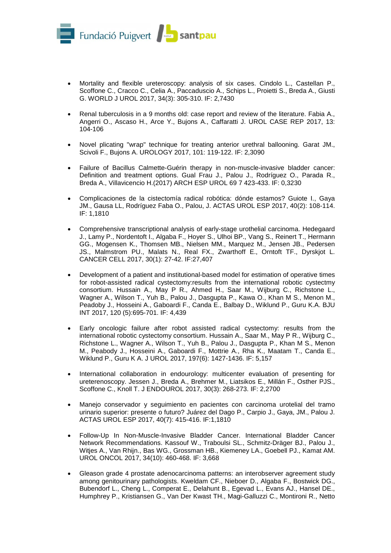

- Mortality and flexible ureteroscopy: analysis of six cases. Cindolo L., Castellan P., Scoffone C., Cracco C., Celia A., Paccaduscio A., Schips L., Proietti S., Breda A., Giusti G. WORLD J UROL 2017, 34(3): 305-310. IF: 2,7430
- Renal tuberculosis in a 9 months old: case report and review of the literature. Fabia A., Angerri O., Ascaso H., Arce Y., Bujons A., Caffaratti J. UROL CASE REP 2017, 13: 104-106
- Novel plicating "wrap" technique for treating anterior urethral ballooning. Garat JM., Scivoli F., Bujons A. UROLOGY 2017, 101: 119-122. IF: 2,3090
- Failure of Bacillus Calmette-Guérin therapy in non-muscle-invasive bladder cancer: Definition and treatment options. Gual Frau J., Palou J., Rodríguez O., Parada R., Breda A., Villavicencio H.(2017) ARCH ESP UROL 69 7 423-433. IF: 0,3230
- Complicaciones de la cistectomía radical robótica: dónde estamos? Guiote I., Gaya JM., Gausa LL, Rodríguez Faba O., Palou, J. ACTAS UROL ESP 2017, 40(2): 108-114. IF: 1,1810
- Comprehensive transcriptional analysis of early-stage urothelial carcinoma. Hedegaard J., Lamy P., Nordentoft I., Algaba F., Hoyer S., Ulhoi BP., Vang S., Reinert T., Hermann GG., Mogensen K., Thomsen MB., Nielsen MM., Marquez M., Jensen JB., Pedersen JS., Malmstrom PU., Malats N., Real FX., Zwarthoff E., Orntoft TF., Dyrskjot L. CANCER CELL 2017, 30(1): 27-42. IF:27,407
- Development of a patient and institutional-based model for estimation of operative times for robot-assisted radical cystectomy:results from the international robotic cystectmy consortium. Hussain A., May P R., Ahmed H., Saar M., Wijburg C., Richstone L., Wagner A., Wilson T., Yuh B., Palou J., Dasgupta P., Kawa O., Khan M S., Menon M., Peadoby J., Hosseini A., Gaboardi F., Canda E., Balbay D., Wiklund P., Guru K.A. BJU INT 2017, 120 (5):695-701. IF: 4,439
- Early oncologic failure after robot assisted radical cystectomy: results from the international robotic cystectomy consortium. Hussain A., Saar M., May P R., Wijburg C., Richstone L., Wagner A., Wilson T., Yuh B., Palou J., Dasgupta P., Khan M S., Menon M., Peabody J., Hosseini A., Gaboardi F., Mottrie A., Rha K., Maatam T., Canda E., Wiklund P., Guru K A. J UROL 2017, 197(6): 1427-1436. IF: 5,157
- International collaboration in endourology: multicenter evaluation of presenting for ureterenoscopy. Jessen J., Breda A., Brehmer M., Liatsikos E., Millán F., Osther PJS., Scoffone C., Knoll T. J ENDOUROL 2017, 30(3): 268-273. IF: 2,2700
- Manejo conservador y seguimiento en pacientes con carcinoma urotelial del tramo urinario superior: presente o futuro? Juárez del Dago P., Carpio J., Gaya, JM., Palou J. ACTAS UROL ESP 2017, 40(7): 415-416. IF:1,1810
- Follow-Up In Non-Muscle-Invasive Bladder Cancer. International Bladder Cancer Network Recommendations. Kassouf W., Traboulsi SL., Schmitz-Dräger BJ., Palou J., Witjes A., Van Rhijn., Bas WG., Grossman HB., Kiemeney LA., Goebell PJ., Kamat AM. UROL ONCOL 2017, 34(10): 460-468. IF: 3,668
- Gleason grade 4 prostate adenocarcinoma patterns: an interobserver agreement study among genitourinary pathologists. Kweldam CF., Nieboer D., Algaba F., Bostwick DG., Bubendorf L., Cheng L., Comperat E., Delahunt B., Egevad L., Evans AJ., Hansel DE., Humphrey P., Kristiansen G., Van Der Kwast TH., Magi-Galluzzi C., Montironi R., Netto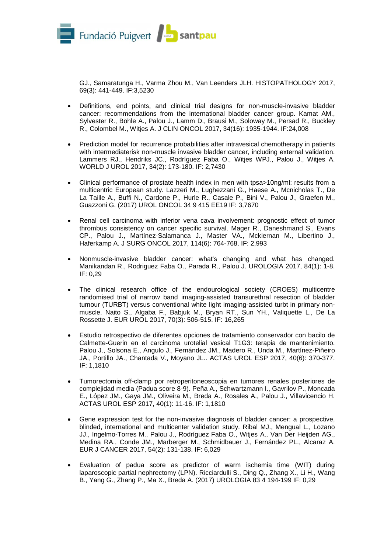

GJ., Samaratunga H., Varma Zhou M., Van Leenders JLH. HISTOPATHOLOGY 2017, 69(3): 441-449. IF:3,5230

- Definitions, end points, and clinical trial designs for non-muscle-invasive bladder cancer: recommendations from the international bladder cancer group. Kamat AM., Sylvester R., Böhle A., Palou J., Lamm D., Brausi M., Soloway M., Persad R., Buckley R., Colombel M., Witjes A. J CLIN ONCOL 2017, 34(16): 1935-1944. IF:24,008
- Prediction model for recurrence probabilities after intravesical chemotherapy in patients with intermediaterisk non-muscle invasive bladder cancer, including external validation. Lammers RJ., Hendriks JC., Rodríguez Faba O., Witjes WPJ., Palou J., Witjes A. WORLD J UROL 2017, 34(2): 173-180. IF: 2,7430
- Clinical performance of prostate health index in men with tpsa>10ng/ml: results from a multicentric European study. Lazzeri M., Lughezzani G., Haese A., Mcnicholas T., De La Taille A., Buffi N., Cardone P., Hurle R., Casale P., Bini V., Palou J., Graefen M., Guazzoni G. (2017) UROL ONCOL 34 9 415 EE19 IF: 3,7670
- Renal cell carcinoma with inferior vena cava involvement: prognostic effect of tumor thrombus consistency on cancer specific survival. Mager R., Daneshmand S., Evans CP., Palou J., Martínez-Salamanca J., Master VA., Mckiernan M., Libertino J., Haferkamp A. J SURG ONCOL 2017, 114(6): 764-768. IF: 2,993
- Nonmuscle-invasive bladder cancer: what's changing and what has changed. Manikandan R., Rodriguez Faba O., Parada R., Palou J. UROLOGIA 2017, 84(1): 1-8. IF: 0,29
- The clinical research office of the endourological society (CROES) multicentre randomised trial of narrow band imaging-assisted transurethral resection of bladder tumour (TURBT) versus conventional white light imaging-assisted turbt in primary nonmuscle. Naito S., Algaba F., Babjuk M., Bryan RT., Sun YH., Valiquette L., De La Rossette J. EUR UROL 2017, 70(3): 506-515. IF: 16,265
- Estudio retrospectivo de diferentes opciones de tratamiento conservador con bacilo de Calmette-Guerin en el carcinoma urotelial vesical T1G3: terapia de mantenimiento. Palou J., Solsona E., Angulo J., Fernández JM., Madero R., Unda M., Martínez-Piñeiro JA., Portillo JA., Chantada V., Moyano JL.. ACTAS UROL ESP 2017, 40(6): 370-377. IF: 1,1810
- Tumorectomia off-clamp por retroperitoneoscopia en tumores renales posteriores de complejidad media (Padua score 8-9). Peña A., Schwartzmann I., Gavrilov P., Moncada E., López JM., Gaya JM., Oliveira M., Breda A., Rosales A., Palou J., Villavicencio H. ACTAS UROL ESP 2017, 40(1): 11-16. IF: 1,1810
- Gene expression test for the non-invasive diagnosis of bladder cancer: a prospective, blinded, international and multicenter validation study. Ribal MJ., Mengual L., Lozano JJ., Ingelmo-Torres M., Palou J., Rodríguez Faba O., Witjes A., Van Der Heijden AG., Medina RA., Conde JM., Marberger M., Schmidbauer J., Fernández PL., Alcaraz A. EUR J CANCER 2017, 54(2): 131-138. IF: 6,029
- Evaluation of padua score as predictor of warm ischemia time (WIT) during laparoscopic partial nephrectomy (LPN). Ricciardulli S., Ding Q., Zhang X., Li H., Wang B., Yang G., Zhang P., Ma X., Breda A. (2017) UROLOGIA 83 4 194-199 IF: 0,29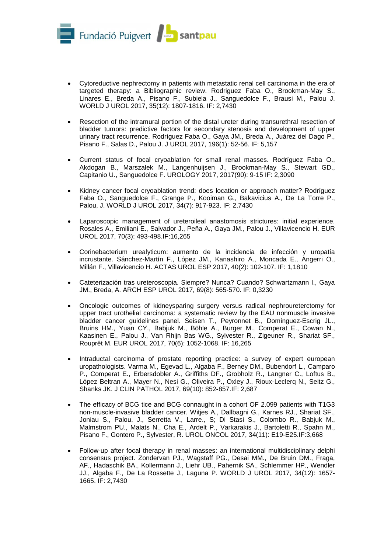

- Cytoreductive nephrectomy in patients with metastatic renal cell carcinoma in the era of targeted therapy: a Bibliographic review. Rodriguez Faba O., Brookman-May S., Linares E., Breda A., Pisano F., Subiela J., Sanguedolce F., Brausi M., Palou J. WORLD J UROL 2017, 35(12): 1807-1816. IF: 2,7430
- Resection of the intramural portion of the distal ureter during transurethral resection of bladder tumors: predictive factors for secondary stenosis and development of upper urinary tract recurrence. Rodríguez Faba O., Gaya JM., Breda A., Juárez del Dago P., Pisano F., Salas D., Palou J. J UROL 2017, 196(1): 52-56. IF: 5,157
- Current status of focal cryoablation for small renal masses. Rodríguez Faba O., Akdogan B., Marszalek M., Langenhuijsen J., Brookman-May S., Stewart GD., Capitanio U., Sanguedolce F. UROLOGY 2017, 2017(90): 9-15 IF: 2,3090
- Kidney cancer focal cryoablation trend: does location or approach matter? Rodríguez Faba O., Sanguedolce F., Grange P., Kooiman G., Bakavicius A., De La Torre P., Palou, J. WORLD J UROL 2017, 34(7): 917-923. IF: 2,7430
- Laparoscopic management of ureteroileal anastomosis strictures: initial experience. Rosales A., Emiliani E., Salvador J., Peña A., Gaya JM., Palou J., Villavicencio H. EUR UROL 2017, 70(3): 493-498.IF:16,265
- Corinebacterium urealyticum: aumento de la incidencia de infección y uropatía incrustante. Sánchez-Martín F., López JM., Kanashiro A., Moncada E., Angerri O., Millán F., Villavicencio H. ACTAS UROL ESP 2017, 40(2): 102-107. IF: 1,1810
- Cateterización tras ureteroscopia. Siempre? Nunca? Cuando? Schwartzmann I., Gaya JM., Breda, A. ARCH ESP UROL 2017, 69(8): 565-570. IF: 0,3230
- Oncologic outcomes of kidneysparing surgery versus radical nephroureterctomy for upper tract urothelial carcinoma: a systematic review by the EAU nonmuscle invasive bladder cancer guidelines panel. Seisen T., Peyronnet B., Dominguez-Escrig JL., Bruins HM., Yuan CY., Babjuk M., Böhle A., Burger M., Comperat E., Cowan N., Kaasinen E., Palou J., Van Rhijn Bas WG., Sylvester R., Zigeuner R., Shariat SF., Rouprêt M. EUR UROL 2017, 70(6): 1052-1068. IF: 16,265
- Intraductal carcinoma of prostate reporting practice: a survey of expert european uropathologists. Varma M., Egevad L., Algaba F., Berney DM., Bubendorf L., Camparo P., Comperat E., Erbersdobler A., Griffiths DF., Grobholz R., Langner C., Loftus B., López Beltran A., Mayer N., Nesi G., Oliveira P., Oxley J., Rioux-Leclerq N., Seitz G., Shanks JK. J CLIN PATHOL 2017, 69(10): 852-857.IF: 2,687
- The efficacy of BCG tice and BCG connaught in a cohort OF 2.099 patients with T1G3 non-muscle-invasive bladder cancer. Witjes A., Dallbagni G., Karnes RJ., Shariat SF., Joniau S., Palou, J., Serretta V., Larre., S; Di Stasi S., Colombo R., Babjuk M., Malmstrom PU., Malats N., Cha E., Ardelt P., Varkarakis J., Bartoletti R., Spahn M., Pisano F., Gontero P., Sylvester, R. UROL ONCOL 2017, 34(11): E19-E25.IF:3,668
- Follow-up after focal therapy in renal masses: an international multidisciplinary delphi consensus project. Zondervan PJ., Wagstaff PG., Desai MM., De Bruin DM., Fraga, AF., Hadaschik BA., Kollermann J., Liehr UB., Pahernik SA., Schlemmer HP., Wendler JJ., Algaba F., De La Rossette J., Laguna P. WORLD J UROL 2017, 34(12): 1657- 1665. IF: 2,7430